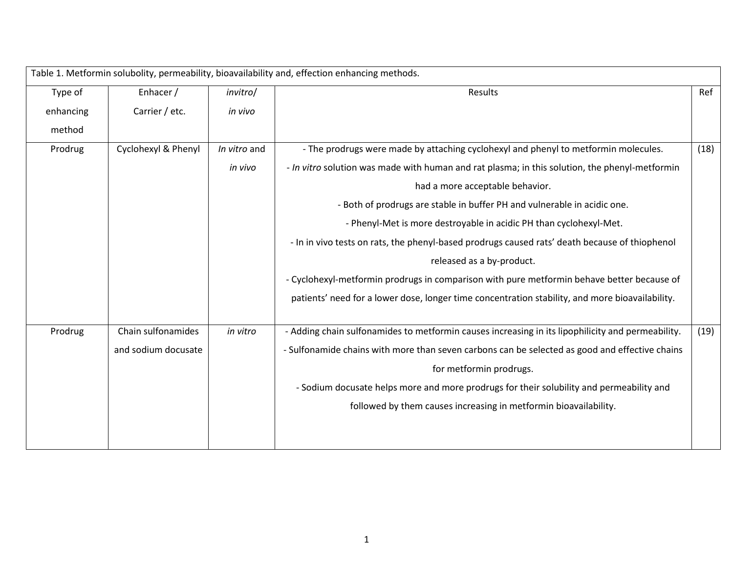| Table 1. Metformin solubolity, permeability, bioavailability and, effection enhancing methods. |                     |              |                                                                                                   |      |  |  |  |  |
|------------------------------------------------------------------------------------------------|---------------------|--------------|---------------------------------------------------------------------------------------------------|------|--|--|--|--|
| Type of                                                                                        | Enhacer /           | invitro/     | Results                                                                                           | Ref  |  |  |  |  |
| enhancing                                                                                      | Carrier / etc.      | in vivo      |                                                                                                   |      |  |  |  |  |
| method                                                                                         |                     |              |                                                                                                   |      |  |  |  |  |
| Prodrug                                                                                        | Cyclohexyl & Phenyl | In vitro and | - The prodrugs were made by attaching cyclohexyl and phenyl to metformin molecules.               | (18) |  |  |  |  |
|                                                                                                |                     | in vivo      | - In vitro solution was made with human and rat plasma; in this solution, the phenyl-metformin    |      |  |  |  |  |
|                                                                                                |                     |              | had a more acceptable behavior.                                                                   |      |  |  |  |  |
|                                                                                                |                     |              | - Both of prodrugs are stable in buffer PH and vulnerable in acidic one.                          |      |  |  |  |  |
|                                                                                                |                     |              | - Phenyl-Met is more destroyable in acidic PH than cyclohexyl-Met.                                |      |  |  |  |  |
|                                                                                                |                     |              | - In in vivo tests on rats, the phenyl-based prodrugs caused rats' death because of thiophenol    |      |  |  |  |  |
|                                                                                                |                     |              | released as a by-product.                                                                         |      |  |  |  |  |
|                                                                                                |                     |              | - Cyclohexyl-metformin prodrugs in comparison with pure metformin behave better because of        |      |  |  |  |  |
|                                                                                                |                     |              | patients' need for a lower dose, longer time concentration stability, and more bioavailability.   |      |  |  |  |  |
| Prodrug                                                                                        | Chain sulfonamides  | in vitro     | - Adding chain sulfonamides to metformin causes increasing in its lipophilicity and permeability. | (19) |  |  |  |  |
|                                                                                                | and sodium docusate |              | - Sulfonamide chains with more than seven carbons can be selected as good and effective chains    |      |  |  |  |  |
|                                                                                                |                     |              | for metformin prodrugs.                                                                           |      |  |  |  |  |
|                                                                                                |                     |              | - Sodium docusate helps more and more prodrugs for their solubility and permeability and          |      |  |  |  |  |
|                                                                                                |                     |              | followed by them causes increasing in metformin bioavailability.                                  |      |  |  |  |  |
|                                                                                                |                     |              |                                                                                                   |      |  |  |  |  |
|                                                                                                |                     |              |                                                                                                   |      |  |  |  |  |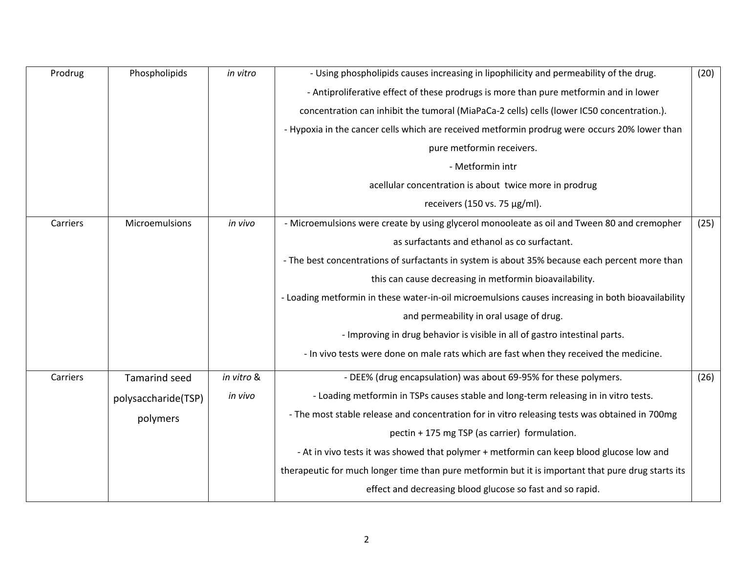| Prodrug  | Phospholipids        | in vitro   | - Using phospholipids causes increasing in lipophilicity and permeability of the drug.             | (20) |
|----------|----------------------|------------|----------------------------------------------------------------------------------------------------|------|
|          |                      |            | - Antiproliferative effect of these prodrugs is more than pure metformin and in lower              |      |
|          |                      |            | concentration can inhibit the tumoral (MiaPaCa-2 cells) cells (lower IC50 concentration.).         |      |
|          |                      |            | - Hypoxia in the cancer cells which are received metformin prodrug were occurs 20% lower than      |      |
|          |                      |            | pure metformin receivers.                                                                          |      |
|          |                      |            | - Metformin intr                                                                                   |      |
|          |                      |            | acellular concentration is about twice more in prodrug                                             |      |
|          |                      |            | receivers (150 vs. 75 µg/ml).                                                                      |      |
| Carriers | Microemulsions       | in vivo    | - Microemulsions were create by using glycerol monooleate as oil and Tween 80 and cremopher        | (25) |
|          |                      |            | as surfactants and ethanol as co surfactant.                                                       |      |
|          |                      |            | - The best concentrations of surfactants in system is about 35% because each percent more than     |      |
|          |                      |            | this can cause decreasing in metformin bioavailability.                                            |      |
|          |                      |            | - Loading metformin in these water-in-oil microemulsions causes increasing in both bioavailability |      |
|          |                      |            | and permeability in oral usage of drug.                                                            |      |
|          |                      |            | - Improving in drug behavior is visible in all of gastro intestinal parts.                         |      |
|          |                      |            | - In vivo tests were done on male rats which are fast when they received the medicine.             |      |
| Carriers | <b>Tamarind seed</b> | in vitro & | - DEE% (drug encapsulation) was about 69-95% for these polymers.                                   | (26) |
|          | polysaccharide(TSP)  | in vivo    | - Loading metformin in TSPs causes stable and long-term releasing in in vitro tests.               |      |
|          | polymers             |            | - The most stable release and concentration for in vitro releasing tests was obtained in 700mg     |      |
|          |                      |            | pectin + 175 mg TSP (as carrier) formulation.                                                      |      |
|          |                      |            | - At in vivo tests it was showed that polymer + metformin can keep blood glucose low and           |      |
|          |                      |            | therapeutic for much longer time than pure metformin but it is important that pure drug starts its |      |
|          |                      |            | effect and decreasing blood glucose so fast and so rapid.                                          |      |